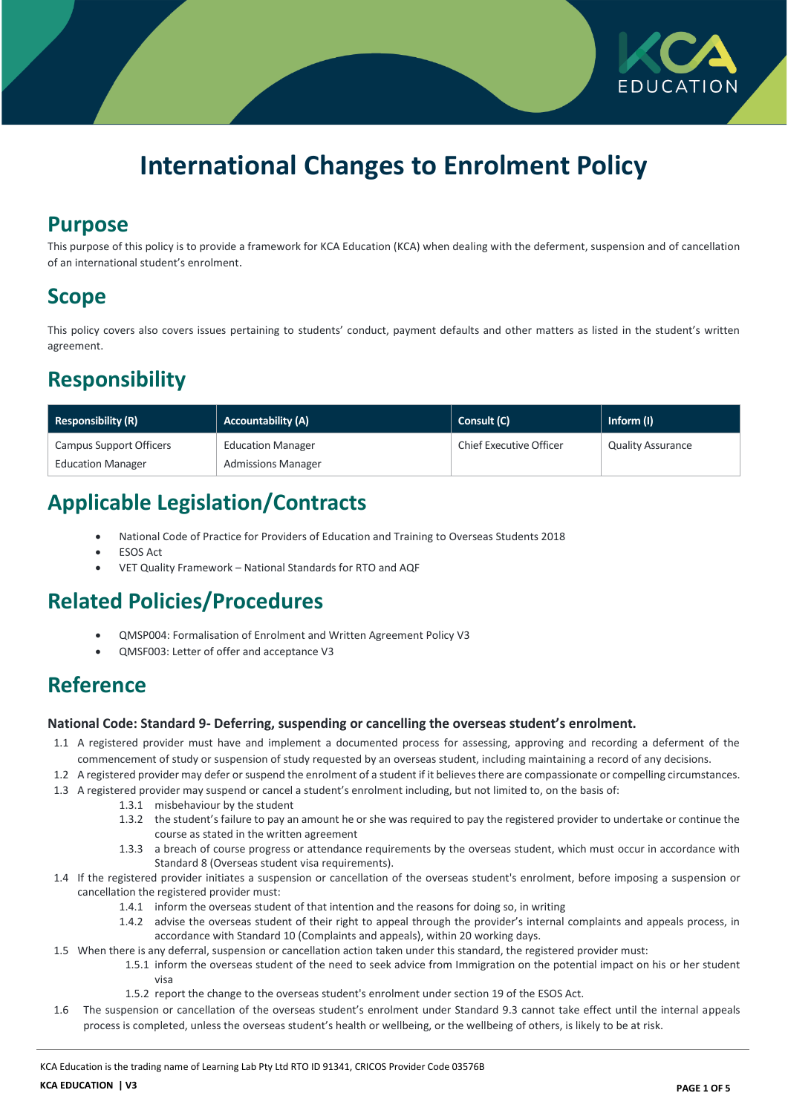

# **International Changes to Enrolment Policy**

### **Purpose**

This purpose of this policy is to provide a framework for KCA Education (KCA) when dealing with the deferment, suspension and of cancellation of an international student's enrolment.

## **Scope**

This policy covers also covers issues pertaining to students' conduct, payment defaults and other matters as listed in the student's written agreement.

# **Responsibility**

| <b>Responsibility (R)</b> | <b>Accountability (A)</b> | <b>Consult (C)</b>      | Inform (I)               |
|---------------------------|---------------------------|-------------------------|--------------------------|
| Campus Support Officers   | <b>Education Manager</b>  | Chief Executive Officer | <b>Quality Assurance</b> |
| <b>Education Manager</b>  | <b>Admissions Manager</b> |                         |                          |

# **Applicable Legislation/Contracts**

- National Code of Practice for Providers of Education and Training to Overseas Students 2018
- ESOS Act
- VET Quality Framework National Standards for RTO and AQF

# **Related Policies/Procedures**

- QMSP004: Formalisation of Enrolment and Written Agreement Policy V3
- QMSF003: Letter of offer and acceptance V3

# **Reference**

#### **National Code: Standard 9- Deferring, suspending or cancelling the overseas student's enrolment.**

- 1.1 A registered provider must have and implement a documented process for assessing, approving and recording a deferment of the commencement of study or suspension of study requested by an overseas student, including maintaining a record of any decisions.
- 1.2 A registered provider may defer or suspend the enrolment of a student if it believes there are compassionate or compelling circumstances.
- 1.3 A registered provider may suspend or cancel a student's enrolment including, but not limited to, on the basis of:
	- 1.3.1 misbehaviour by the student
		- 1.3.2 the student's failure to pay an amount he or she was required to pay the registered provider to undertake or continue the course as stated in the written agreement
		- 1.3.3 a breach of course progress or attendance requirements by the overseas student, which must occur in accordance with Standard 8 (Overseas student visa requirements).
- 1.4 If the registered provider initiates a suspension or cancellation of the overseas student's enrolment, before imposing a suspension or cancellation the registered provider must:
	- 1.4.1 inform the overseas student of that intention and the reasons for doing so, in writing
	- 1.4.2 advise the overseas student of their right to appeal through the provider's internal complaints and appeals process, in accordance with Standard 10 (Complaints and appeals), within 20 working days.
- 1.5 When there is any deferral, suspension or cancellation action taken under this standard, the registered provider must:
	- 1.5.1 inform the overseas student of the need to seek advice from Immigration on the potential impact on his or her student visa
		- 1.5.2 report the change to the overseas student's enrolment under section 19 of the ESOS Act.
- 1.6 The suspension or cancellation of the overseas student's enrolment under Standard 9.3 cannot take effect until the internal appeals process is completed, unless the overseas student's health or wellbeing, or the wellbeing of others, is likely to be at risk.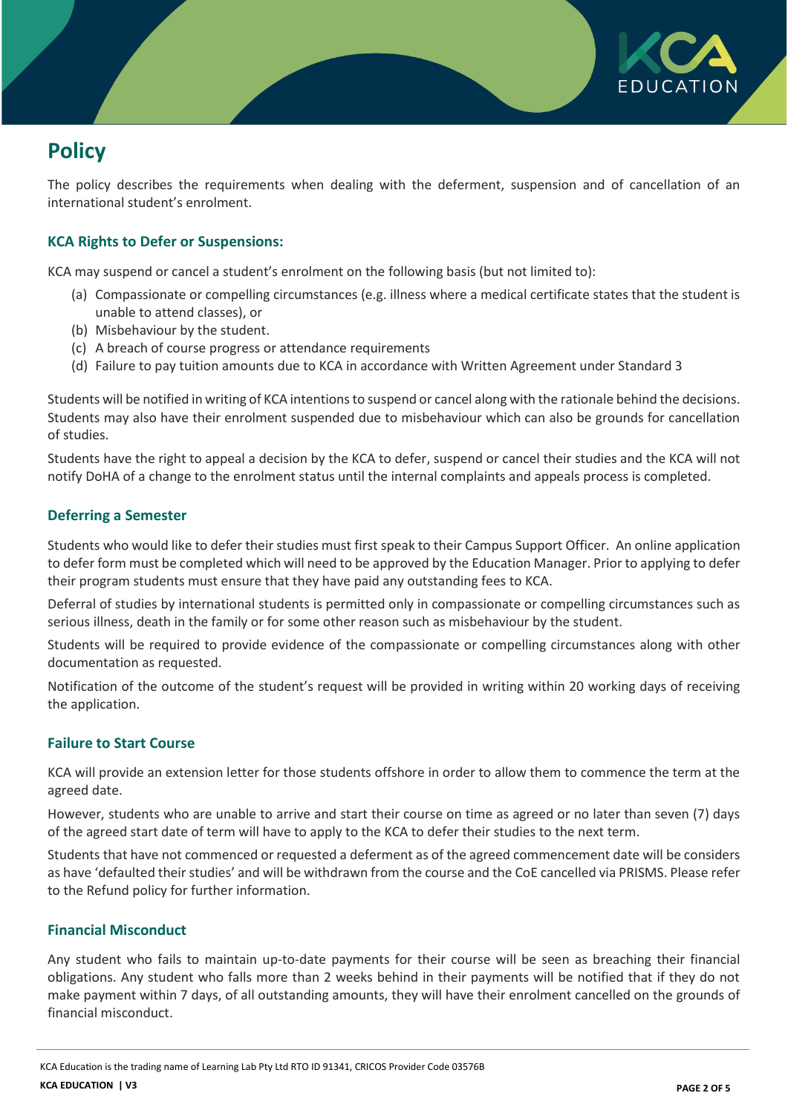

# **Policy**

The policy describes the requirements when dealing with the deferment, suspension and of cancellation of an international student's enrolment.

### **KCA Rights to Defer or Suspensions:**

KCA may suspend or cancel a student's enrolment on the following basis (but not limited to):

- (a) Compassionate or compelling circumstances (e.g. illness where a medical certificate states that the student is unable to attend classes), or
- (b) Misbehaviour by the student.
- (c) A breach of course progress or attendance requirements
- (d) Failure to pay tuition amounts due to KCA in accordance with Written Agreement under Standard 3

Students will be notified in writing of KCA intentions to suspend or cancel along with the rationale behind the decisions. Students may also have their enrolment suspended due to misbehaviour which can also be grounds for cancellation of studies.

Students have the right to appeal a decision by the KCA to defer, suspend or cancel their studies and the KCA will not notify DoHA of a change to the enrolment status until the internal complaints and appeals process is completed.

### **Deferring a Semester**

Students who would like to defer their studies must first speak to their Campus Support Officer. An online application to defer form must be completed which will need to be approved by the Education Manager. Prior to applying to defer their program students must ensure that they have paid any outstanding fees to KCA.

Deferral of studies by international students is permitted only in compassionate or compelling circumstances such as serious illness, death in the family or for some other reason such as misbehaviour by the student.

Students will be required to provide evidence of the compassionate or compelling circumstances along with other documentation as requested.

Notification of the outcome of the student's request will be provided in writing within 20 working days of receiving the application.

### **Failure to Start Course**

KCA will provide an extension letter for those students offshore in order to allow them to commence the term at the agreed date.

However, students who are unable to arrive and start their course on time as agreed or no later than seven (7) days of the agreed start date of term will have to apply to the KCA to defer their studies to the next term.

Students that have not commenced or requested a deferment as of the agreed commencement date will be considers as have 'defaulted their studies' and will be withdrawn from the course and the CoE cancelled via PRISMS. Please refer to the Refund policy for further information.

#### **Financial Misconduct**

Any student who fails to maintain up-to-date payments for their course will be seen as breaching their financial obligations. Any student who falls more than 2 weeks behind in their payments will be notified that if they do not make payment within 7 days, of all outstanding amounts, they will have their enrolment cancelled on the grounds of financial misconduct.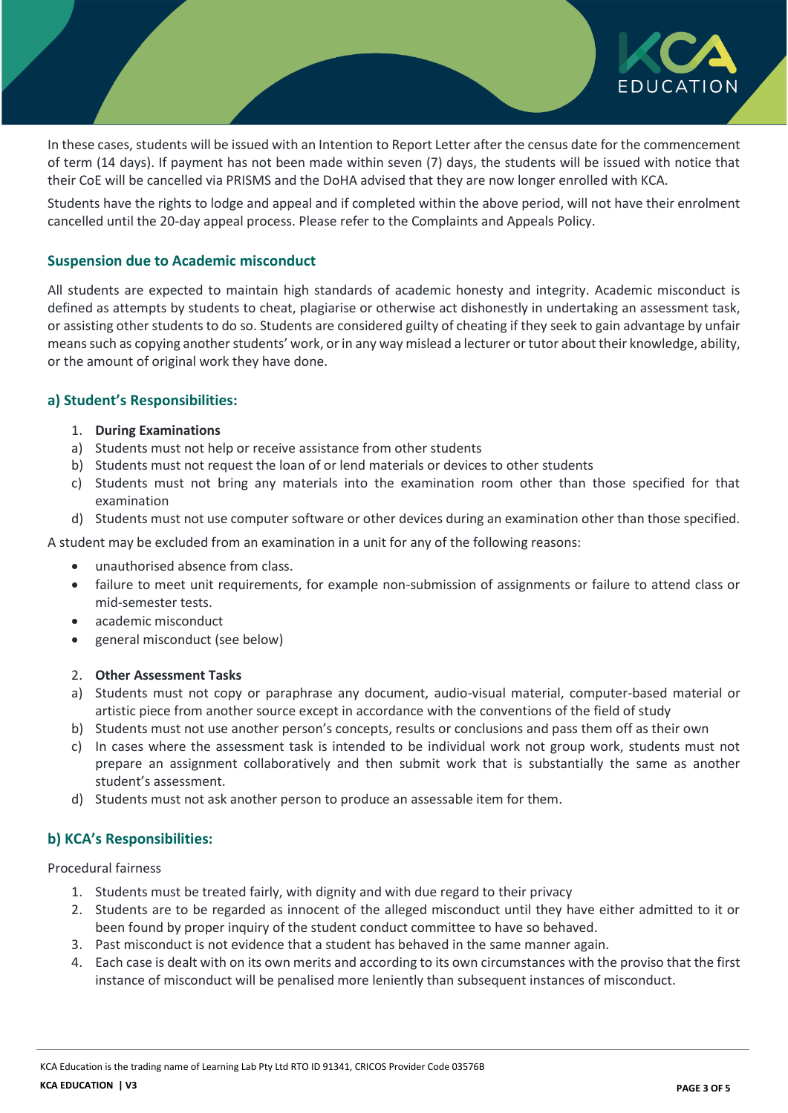

In these cases, students will be issued with an Intention to Report Letter after the census date for the commencement of term (14 days). If payment has not been made within seven (7) days, the students will be issued with notice that their CoE will be cancelled via PRISMS and the DoHA advised that they are now longer enrolled with KCA.

Students have the rights to lodge and appeal and if completed within the above period, will not have their enrolment cancelled until the 20-day appeal process. Please refer to the Complaints and Appeals Policy.

### **Suspension due to Academic misconduct**

All students are expected to maintain high standards of academic honesty and integrity. Academic misconduct is defined as attempts by students to cheat, plagiarise or otherwise act dishonestly in undertaking an assessment task, or assisting other students to do so. Students are considered guilty of cheating if they seek to gain advantage by unfair means such as copying another students' work, or in any way mislead a lecturer or tutor about their knowledge, ability, or the amount of original work they have done.

#### **a) Student's Responsibilities:**

#### 1. **During Examinations**

- a) Students must not help or receive assistance from other students
- b) Students must not request the loan of or lend materials or devices to other students
- c) Students must not bring any materials into the examination room other than those specified for that examination
- d) Students must not use computer software or other devices during an examination other than those specified.

A student may be excluded from an examination in a unit for any of the following reasons:

- unauthorised absence from class.
- failure to meet unit requirements, for example non-submission of assignments or failure to attend class or mid-semester tests.
- academic misconduct
- general misconduct (see below)

#### 2. **Other Assessment Tasks**

- a) Students must not copy or paraphrase any document, audio-visual material, computer-based material or artistic piece from another source except in accordance with the conventions of the field of study
- b) Students must not use another person's concepts, results or conclusions and pass them off as their own
- c) In cases where the assessment task is intended to be individual work not group work, students must not prepare an assignment collaboratively and then submit work that is substantially the same as another student's assessment.
- d) Students must not ask another person to produce an assessable item for them.

### **b) KCA's Responsibilities:**

Procedural fairness

- 1. Students must be treated fairly, with dignity and with due regard to their privacy
- 2. Students are to be regarded as innocent of the alleged misconduct until they have either admitted to it or been found by proper inquiry of the student conduct committee to have so behaved.
- 3. Past misconduct is not evidence that a student has behaved in the same manner again.
- 4. Each case is dealt with on its own merits and according to its own circumstances with the proviso that the first instance of misconduct will be penalised more leniently than subsequent instances of misconduct.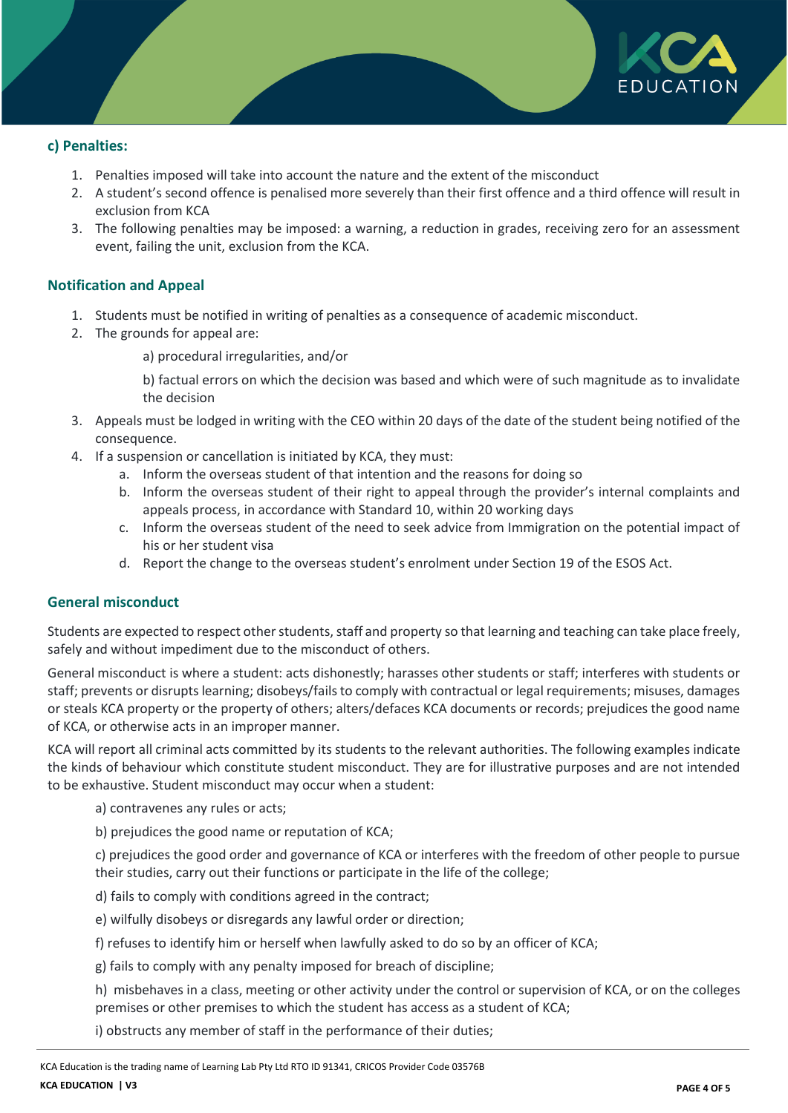

### **c) Penalties:**

- 1. Penalties imposed will take into account the nature and the extent of the misconduct
- 2. A student's second offence is penalised more severely than their first offence and a third offence will result in exclusion from KCA
- 3. The following penalties may be imposed: a warning, a reduction in grades, receiving zero for an assessment event, failing the unit, exclusion from the KCA.

#### **Notification and Appeal**

- 1. Students must be notified in writing of penalties as a consequence of academic misconduct.
- 2. The grounds for appeal are:
	- a) procedural irregularities, and/or

b) factual errors on which the decision was based and which were of such magnitude as to invalidate the decision

- 3. Appeals must be lodged in writing with the CEO within 20 days of the date of the student being notified of the consequence.
- 4. If a suspension or cancellation is initiated by KCA, they must:
	- a. Inform the overseas student of that intention and the reasons for doing so
	- b. Inform the overseas student of their right to appeal through the provider's internal complaints and appeals process, in accordance with Standard 10, within 20 working days
	- c. Inform the overseas student of the need to seek advice from Immigration on the potential impact of his or her student visa
	- d. Report the change to the overseas student's enrolment under Section 19 of the ESOS Act.

#### **General misconduct**

Students are expected to respect other students, staff and property so that learning and teaching can take place freely, safely and without impediment due to the misconduct of others.

General misconduct is where a student: acts dishonestly; harasses other students or staff; interferes with students or staff; prevents or disrupts learning; disobeys/fails to comply with contractual or legal requirements; misuses, damages or steals KCA property or the property of others; alters/defaces KCA documents or records; prejudices the good name of KCA, or otherwise acts in an improper manner.

KCA will report all criminal acts committed by its students to the relevant authorities. The following examples indicate the kinds of behaviour which constitute student misconduct. They are for illustrative purposes and are not intended to be exhaustive. Student misconduct may occur when a student:

a) contravenes any rules or acts;

b) prejudices the good name or reputation of KCA;

c) prejudices the good order and governance of KCA or interferes with the freedom of other people to pursue their studies, carry out their functions or participate in the life of the college;

d) fails to comply with conditions agreed in the contract;

- e) wilfully disobeys or disregards any lawful order or direction;
- f) refuses to identify him or herself when lawfully asked to do so by an officer of KCA;

g) fails to comply with any penalty imposed for breach of discipline;

h) misbehaves in a class, meeting or other activity under the control or supervision of KCA, or on the colleges premises or other premises to which the student has access as a student of KCA;

i) obstructs any member of staff in the performance of their duties;